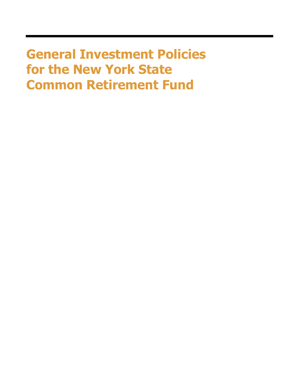**General Investment Policies for the New York State Common Retirement Fund**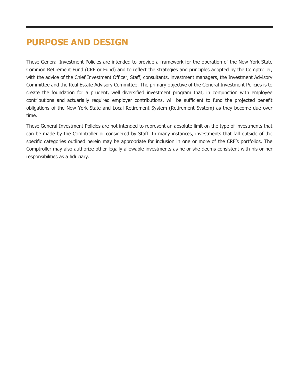## **PURPOSE AND DESIGN**

These General Investment Policies are intended to provide a framework for the operation of the New York State Common Retirement Fund (CRF or Fund) and to reflect the strategies and principles adopted by the Comptroller, with the advice of the Chief Investment Officer, Staff, consultants, investment managers, the Investment Advisory Committee and the Real Estate Advisory Committee. The primary objective of the General Investment Policies is to create the foundation for a prudent, well diversified investment program that, in conjunction with employee contributions and actuarially required employer contributions, will be sufficient to fund the projected benefit obligations of the New York State and Local Retirement System (Retirement System) as they become due over time.

These General Investment Policies are not intended to represent an absolute limit on the type of investments that can be made by the Comptroller or considered by Staff. In many instances, investments that fall outside of the specific categories outlined herein may be appropriate for inclusion in one or more of the CRF's portfolios. The Comptroller may also authorize other legally allowable investments as he or she deems consistent with his or her responsibilities as a fiduciary.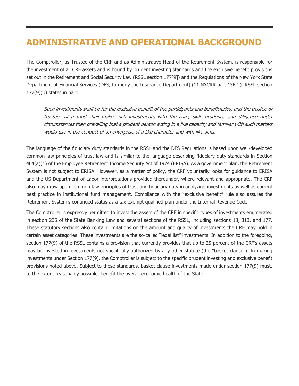# **ADMINISTRATIVE AND OPERATIONAL BACKGROUND**

The Comptroller, as Trustee of the CRF and as Administrative Head of the Retirement System, is responsible for the investment of all CRF assets and is bound by prudent investing standards and the exclusive benefit provisions set out in the Retirement and Social Security Law (RSSL section 177[9]) and the Regulations of the New York State Department of Financial Services (DFS, formerly the Insurance Department) (11 NYCRR part 136-2). RSSL section 177(9)(b) states in part:

Such investments shall be for the exclusive benefit of the participants and beneficiaries, and the trustee or trustees of a fund shall make such investments with the care, skill, prudence and diligence under circumstances then prevailing that a prudent person acting in a like capacity and familiar with such matters would use in the conduct of an enterprise of a like character and with like aims.

The language of the fiduciary duty standards in the RSSL and the DFS Regulations is based upon well-developed common law principles of trust law and is similar to the language describing fiduciary duty standards in Section 404(a)(1) of the Employee Retirement Income Security Act of 1974 (ERISA). As a government plan, the Retirement System is not subject to ERISA. However, as a matter of policy, the CRF voluntarily looks for guidance to ERISA and the US Department of Labor interpretations provided thereunder, where relevant and appropriate. The CRF also may draw upon common law principles of trust and fiduciary duty in analyzing investments as well as current best practice in institutional fund management. Compliance with the "exclusive benefit" rule also assures the Retirement System's continued status as a tax-exempt qualified plan under the Internal Revenue Code.

The Comptroller is expressly permitted to invest the assets of the CRF in specific types of investments enumerated in section 235 of the State Banking Law and several sections of the RSSL, including sections 13, 313, and 177. These statutory sections also contain limitations on the amount and quality of investments the CRF may hold in certain asset categories. These investments are the so-called "legal list" investments. In addition to the foregoing, section 177(9) of the RSSL contains a provision that currently provides that up to 25 percent of the CRF's assets may be invested in investments not specifically authorized by any other statute (the "basket clause"). In making investments under Section 177(9), the Comptroller is subject to the specific prudent investing and exclusive benefit provisions noted above. Subject to these standards, basket clause investments made under section 177(9) must, to the extent reasonably possible, benefit the overall economic health of the State.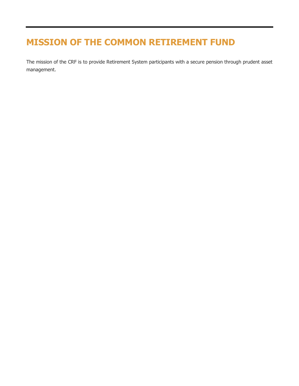# **MISSION OF THE COMMON RETIREMENT FUND**

The mission of the CRF is to provide Retirement System participants with a secure pension through prudent asset management.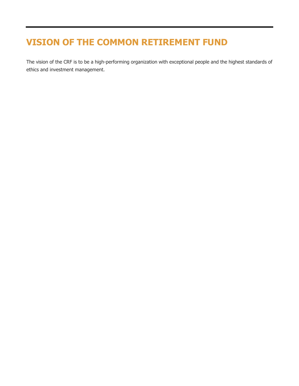# **VISION OF THE COMMON RETIREMENT FUND**

The vision of the CRF is to be a high-performing organization with exceptional people and the highest standards of ethics and investment management.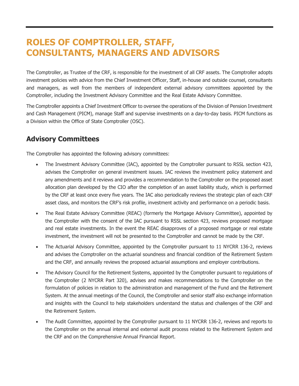# **ROLES OF COMPTROLLER, STAFF, CONSULTANTS, MANAGERS AND ADVISORS**

The Comptroller, as Trustee of the CRF, is responsible for the investment of all CRF assets. The Comptroller adopts investment policies with advice from the Chief Investment Officer, Staff, in-house and outside counsel, consultants and managers, as well from the members of independent external advisory committees appointed by the Comptroller, including the Investment Advisory Committee and the Real Estate Advisory Committee.

The Comptroller appoints a Chief Investment Officer to oversee the operations of the Division of Pension Investment and Cash Management (PICM), manage Staff and supervise investments on a day-to-day basis. PICM functions as a Division within the Office of State Comptroller (OSC).

### **Advisory Committees**

The Comptroller has appointed the following advisory committees:

- The Investment Advisory Committee (IAC), appointed by the Comptroller pursuant to RSSL section 423, advises the Comptroller on general investment issues. IAC reviews the investment policy statement and any amendments and it reviews and provides a recommendation to the Comptroller on the proposed asset allocation plan developed by the CIO after the completion of an asset liability study, which is performed by the CRF at least once every five years. The IAC also periodically reviews the strategic plan of each CRF asset class, and monitors the CRF's risk profile, investment activity and performance on a periodic basis.
- The Real Estate Advisory Committee (REAC) (formerly the Mortgage Advisory Committee), appointed by the Comptroller with the consent of the IAC pursuant to RSSL section 423, reviews proposed mortgage and real estate investments. In the event the REAC disapproves of a proposed mortgage or real estate investment, the investment will not be presented to the Comptroller and cannot be made by the CRF.
- The Actuarial Advisory Committee, appointed by the Comptroller pursuant to 11 NYCRR 136-2, reviews and advises the Comptroller on the actuarial soundness and financial condition of the Retirement System and the CRF, and annually reviews the proposed actuarial assumptions and employer contributions.
- The Advisory Council for the Retirement Systems, appointed by the Comptroller pursuant to regulations of the Comptroller (2 NYCRR Part 320), advises and makes recommendations to the Comptroller on the formulation of policies in relation to the administration and management of the Fund and the Retirement System. At the annual meetings of the Council, the Comptroller and senior staff also exchange information and insights with the Council to help stakeholders understand the status and challenges of the CRF and the Retirement System.
- The Audit Committee, appointed by the Comptroller pursuant to 11 NYCRR 136-2, reviews and reports to the Comptroller on the annual internal and external audit process related to the Retirement System and the CRF and on the Comprehensive Annual Financial Report.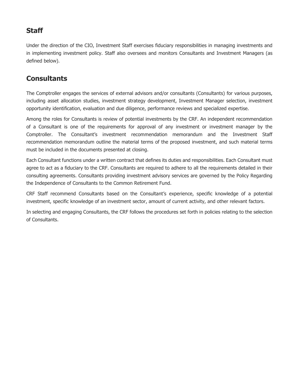### **Staff**

Under the direction of the CIO, Investment Staff exercises fiduciary responsibilities in managing investments and in implementing investment policy. Staff also oversees and monitors Consultants and Investment Managers (as defined below).

### **Consultants**

The Comptroller engages the services of external advisors and/or consultants (Consultants) for various purposes, including asset allocation studies, investment strategy development, Investment Manager selection, investment opportunity identification, evaluation and due diligence, performance reviews and specialized expertise.

Among the roles for Consultants is review of potential investments by the CRF. An independent recommendation of a Consultant is one of the requirements for approval of any investment or investment manager by the Comptroller. The Consultant's investment recommendation memorandum and the Investment Staff recommendation memorandum outline the material terms of the proposed investment, and such material terms must be included in the documents presented at closing.

Each Consultant functions under a written contract that defines its duties and responsibilities. Each Consultant must agree to act as a fiduciary to the CRF. Consultants are required to adhere to all the requirements detailed in their consulting agreements. Consultants providing investment advisory services are governed by the Policy Regarding the Independence of Consultants to the Common Retirement Fund.

CRF Staff recommend Consultants based on the Consultant's experience, specific knowledge of a potential investment, specific knowledge of an investment sector, amount of current activity, and other relevant factors.

In selecting and engaging Consultants, the CRF follows the procedures set forth in policies relating to the selection of Consultants.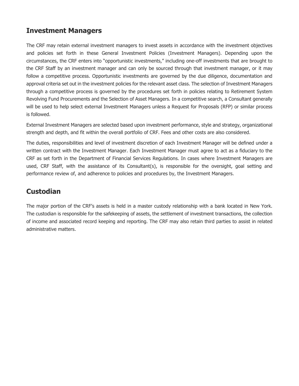#### **Investment Managers**

The CRF may retain external investment managers to invest assets in accordance with the investment objectives and policies set forth in these General Investment Policies (Investment Managers). Depending upon the circumstances, the CRF enters into "opportunistic investments," including one-off investments that are brought to the CRF Staff by an investment manager and can only be sourced through that investment manager, or it may follow a competitive process. Opportunistic investments are governed by the due diligence, documentation and approval criteria set out in the investment policies for the relevant asset class. The selection of Investment Managers through a competitive process is governed by the procedures set forth in policies relating to Retirement System Revolving Fund Procurements and the Selection of Asset Managers. In a competitive search, a Consultant generally will be used to help select external Investment Managers unless a Request for Proposals (RFP) or similar process is followed.

External Investment Managers are selected based upon investment performance, style and strategy, organizational strength and depth, and fit within the overall portfolio of CRF. Fees and other costs are also considered.

The duties, responsibilities and level of investment discretion of each Investment Manager will be defined under a written contract with the Investment Manager. Each Investment Manager must agree to act as a fiduciary to the CRF as set forth in the Department of Financial Services Regulations. In cases where Investment Managers are used, CRF Staff, with the assistance of its Consultant(s), is responsible for the oversight, goal setting and performance review of, and adherence to policies and procedures by, the Investment Managers.

#### **Custodian**

The major portion of the CRF's assets is held in a master custody relationship with a bank located in New York. The custodian is responsible for the safekeeping of assets, the settlement of investment transactions, the collection of income and associated record keeping and reporting. The CRF may also retain third parties to assist in related administrative matters.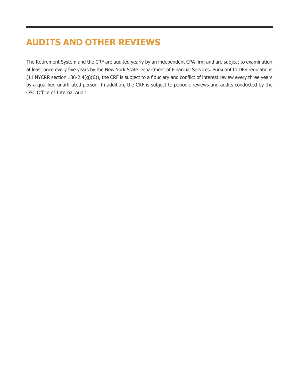# **AUDITS AND OTHER REVIEWS**

The Retirement System and the CRF are audited yearly by an independent CPA firm and are subject to examination at least once every five years by the New York State Department of Financial Services. Pursuant to DFS regulations (11 NYCRR section 136-2.4(g)(6)), the CRF is subject to a fiduciary and conflict of interest review every three years by a qualified unaffiliated person. In addition, the CRF is subject to periodic reviews and audits conducted by the OSC Office of Internal Audit.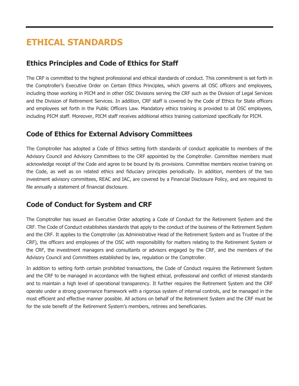# **ETHICAL STANDARDS**

#### **Ethics Principles and Code of Ethics for Staff**

The CRF is committed to the highest professional and ethical standards of conduct. This commitment is set forth in the Comptroller's Executive Order on Certain Ethics Principles, which governs all OSC officers and employees, including those working in PICM and in other OSC Divisions serving the CRF such as the Division of Legal Services and the Division of Retirement Services. In addition, CRF staff is covered by the Code of Ethics for State officers and employees set forth in the Public Officers Law. Mandatory ethics training is provided to all OSC employees, including PICM staff. Moreover, PICM staff receives additional ethics training customized specifically for PICM.

#### **Code of Ethics for External Advisory Committees**

The Comptroller has adopted a Code of Ethics setting forth standards of conduct applicable to members of the Advisory Council and Advisory Committees to the CRF appointed by the Comptroller. Committee members must acknowledge receipt of the Code and agree to be bound by its provisions. Committee members receive training on the Code, as well as on related ethics and fiduciary principles periodically. In addition, members of the two investment advisory committees, REAC and IAC, are covered by a Financial Disclosure Policy, and are required to file annually a statement of financial disclosure.

### **Code of Conduct for System and CRF**

The Comptroller has issued an Executive Order adopting a Code of Conduct for the Retirement System and the CRF. The Code of Conduct establishes standards that apply to the conduct of the business of the Retirement System and the CRF. It applies to the Comptroller (as Administrative Head of the Retirement System and as Trustee of the CRF), the officers and employees of the OSC with responsibility for matters relating to the Retirement System or the CRF, the investment managers and consultants or advisors engaged by the CRF, and the members of the Advisory Council and Committees established by law, regulation or the Comptroller.

In addition to setting forth certain prohibited transactions, the Code of Conduct requires the Retirement System and the CRF to be managed in accordance with the highest ethical, professional and conflict of interest standards and to maintain a high level of operational transparency. It further requires the Retirement System and the CRF operate under a strong governance framework with a rigorous system of internal controls, and be managed in the most efficient and effective manner possible. All actions on behalf of the Retirement System and the CRF must be for the sole benefit of the Retirement System's members, retirees and beneficiaries.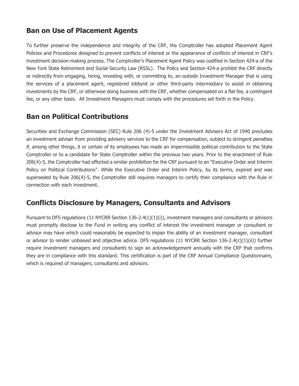#### **Ban on Use of Placement Agents**

To further preserve the independence and integrity of the CRF, the Comptroller has adopted Placement Agent Policies and Procedures designed to prevent conflicts of interest or the appearance of conflicts of interest in CRF's investment decision-making process. The Comptroller's Placement Agent Policy was codified in Section 424-a of the New York State Retirement and Social Security Law (RSSL). The Policy and Section 424-a prohibit the CRF directly or indirectly from engaging, hiring, investing with, or committing to, an outside Investment Manager that is using the services of a placement agent, registered lobbyist or other third-party intermediary to assist in obtaining investments by the CRF, or otherwise doing business with the CRF, whether compensated on a flat fee, a contingent fee, or any other basis. All Investment Managers must comply with the procedures set forth in the Policy.

#### **Ban on Political Contributions**

Securities and Exchange Commission (SEC) Rule 206 (4)-5 under the Investment Advisers Act of 1940 precludes an investment adviser from providing advisory services to the CRF for compensation, subject to stringent penalties if, among other things, it or certain of its employees has made an impermissible political contribution to the State Comptroller or to a candidate for State Comptroller within the previous two years. Prior to the enactment of Rule 206(4)-5, the Comptroller had effected a similar prohibition for the CRF pursuant to an "Executive Order and Interim Policy on Political Contributions". While the Executive Order and Interim Policy, by its terms, expired and was superseded by Rule 206(4)-5, the Comptroller still requires managers to certify their compliance with the Rule in connection with each investment.

#### **Conflicts Disclosure by Managers, Consultants and Advisors**

Pursuant to DFS regulations (11 NYCRR Section 136-2.4(c)(1)(i)), investment managers and consultants or advisors must promptly disclose to the Fund in writing any conflict of interest the investment manager or consultant or advisor may have which could reasonably be expected to impair the ability of an investment manager, consultant or advisor to render unbiased and objective advice. DFS regulations (11 NYCRR Section 136-2.4(c)(1)(ii)) further require investment managers and consultants to sign an acknowledgement annually with the CRF that confirms they are in compliance with this standard. This certification is part of the CRF Annual Compliance Questionnaire, which is required of managers, consultants and advisors.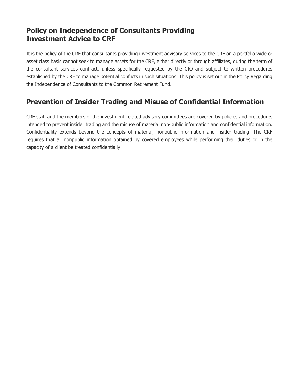#### **Policy on Independence of Consultants Providing Investment Advice to CRF**

It is the policy of the CRF that consultants providing investment advisory services to the CRF on a portfolio wide or asset class basis cannot seek to manage assets for the CRF, either directly or through affiliates, during the term of the consultant services contract, unless specifically requested by the CIO and subject to written procedures established by the CRF to manage potential conflicts in such situations. This policy is set out in the Policy Regarding the Independence of Consultants to the Common Retirement Fund.

### **Prevention of Insider Trading and Misuse of Confidential Information**

CRF staff and the members of the investment-related advisory committees are covered by policies and procedures intended to prevent insider trading and the misuse of material non-public information and confidential information. Confidentiality extends beyond the concepts of material, nonpublic information and insider trading. The CRF requires that all nonpublic information obtained by covered employees while performing their duties or in the capacity of a client be treated confidentially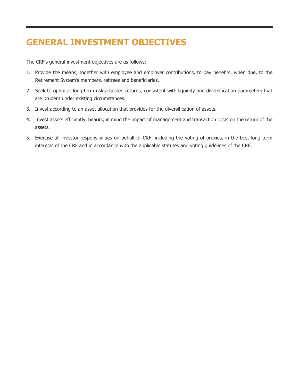# **GENERAL INVESTMENT OBJECTIVES**

The CRF's general investment objectives are as follows:

- 1. Provide the means, together with employee and employer contributions, to pay benefits, when due, to the Retirement System's members, retirees and beneficiaries.
- 2. Seek to optimize long-term risk-adjusted returns, consistent with liquidity and diversification parameters that are prudent under existing circumstances.
- 3. Invest according to an asset allocation that provides for the diversification of assets.
- 4. Invest assets efficiently, bearing in mind the impact of management and transaction costs on the return of the assets.
- 5. Exercise all investor responsibilities on behalf of CRF, including the voting of proxies, in the best long term interests of the CRF and in accordance with the applicable statutes and voting guidelines of the CRF.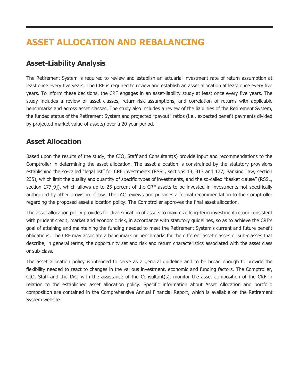# **ASSET ALLOCATION AND REBALANCING**

#### **Asset-Liability Analysis**

The Retirement System is required to review and establish an actuarial investment rate of return assumption at least once every five years. The CRF is required to review and establish an asset allocation at least once every five years. To inform these decisions, the CRF engages in an asset-liability study at least once every five years. The study includes a review of asset classes, return-risk assumptions, and correlation of returns with applicable benchmarks and across asset classes. The study also includes a review of the liabilities of the Retirement System, the funded status of the Retirement System and projected "payout" ratios (i.e., expected benefit payments divided by projected market value of assets) over a 20 year period.

#### **Asset Allocation**

Based upon the results of the study, the CIO, Staff and Consultant(s) provide input and recommendations to the Comptroller in determining the asset allocation. The asset allocation is constrained by the statutory provisions establishing the so-called "legal list" for CRF investments (RSSL, sections 13, 313 and 177; Banking Law, section 235), which limit the quality and quantity of specific types of investments, and the so-called "basket clause" (RSSL, section 177[9]), which allows up to 25 percent of the CRF assets to be invested in investments not specifically authorized by other provision of law. The IAC reviews and provides a formal recommendation to the Comptroller regarding the proposed asset allocation policy. The Comptroller approves the final asset allocation.

The asset allocation policy provides for diversification of assets to maximize long-term investment return consistent with prudent credit, market and economic risk, in accordance with statutory guidelines, so as to achieve the CRF's goal of attaining and maintaining the funding needed to meet the Retirement System's current and future benefit obligations. The CRF may associate a benchmark or benchmarks for the different asset classes or sub-classes that describe, in general terms, the opportunity set and risk and return characteristics associated with the asset class or sub-class.

The asset allocation policy is intended to serve as a general guideline and to be broad enough to provide the flexibility needed to react to changes in the various investment, economic and funding factors. The Comptroller, CIO, Staff and the IAC, with the assistance of the Consultant(s), monitor the asset composition of the CRF in relation to the established asset allocation policy. Specific information about Asset Allocation and portfolio composition are contained in the Comprehensive Annual Financial Report, which is available on the Retirement System website.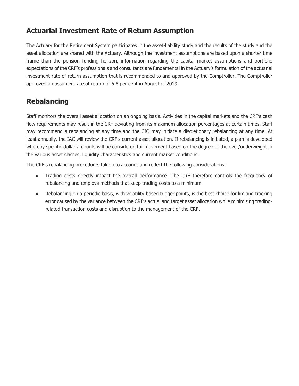### **Actuarial Investment Rate of Return Assumption**

The Actuary for the Retirement System participates in the asset-liability study and the results of the study and the asset allocation are shared with the Actuary. Although the investment assumptions are based upon a shorter time frame than the pension funding horizon, information regarding the capital market assumptions and portfolio expectations of the CRF's professionals and consultants are fundamental in the Actuary's formulation of the actuarial investment rate of return assumption that is recommended to and approved by the Comptroller. The Comptroller approved an assumed rate of return of 6.8 per cent in August of 2019.

### **Rebalancing**

Staff monitors the overall asset allocation on an ongoing basis. Activities in the capital markets and the CRF's cash flow requirements may result in the CRF deviating from its maximum allocation percentages at certain times. Staff may recommend a rebalancing at any time and the CIO may initiate a discretionary rebalancing at any time. At least annually, the IAC will review the CRF's current asset allocation. If rebalancing is initiated, a plan is developed whereby specific dollar amounts will be considered for movement based on the degree of the over/underweight in the various asset classes, liquidity characteristics and current market conditions.

The CRF's rebalancing procedures take into account and reflect the following considerations:

- Trading costs directly impact the overall performance. The CRF therefore controls the frequency of rebalancing and employs methods that keep trading costs to a minimum.
- Rebalancing on a periodic basis, with volatility-based trigger points, is the best choice for limiting tracking error caused by the variance between the CRF's actual and target asset allocation while minimizing tradingrelated transaction costs and disruption to the management of the CRF.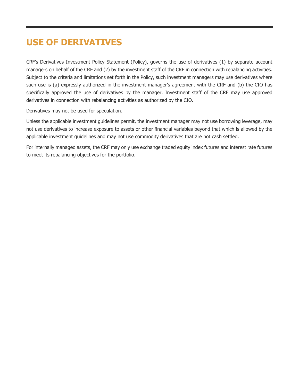## **USE OF DERIVATIVES**

CRF's Derivatives Investment Policy Statement (Policy), governs the use of derivatives (1) by separate account managers on behalf of the CRF and (2) by the investment staff of the CRF in connection with rebalancing activities. Subject to the criteria and limitations set forth in the Policy, such investment managers may use derivatives where such use is (a) expressly authorized in the investment manager's agreement with the CRF and (b) the CIO has specifically approved the use of derivatives by the manager. Investment staff of the CRF may use approved derivatives in connection with rebalancing activities as authorized by the CIO.

Derivatives may not be used for speculation.

Unless the applicable investment guidelines permit, the investment manager may not use borrowing leverage, may not use derivatives to increase exposure to assets or other financial variables beyond that which is allowed by the applicable investment guidelines and may not use commodity derivatives that are not cash settled.

For internally managed assets, the CRF may only use exchange traded equity index futures and interest rate futures to meet its rebalancing objectives for the portfolio.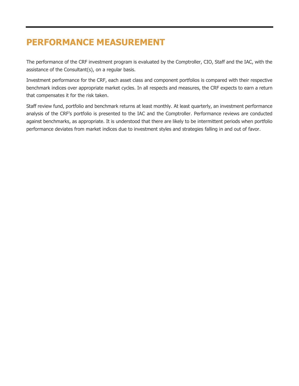# **PERFORMANCE MEASUREMENT**

The performance of the CRF investment program is evaluated by the Comptroller, CIO, Staff and the IAC, with the assistance of the Consultant(s), on a regular basis.

Investment performance for the CRF, each asset class and component portfolios is compared with their respective benchmark indices over appropriate market cycles. In all respects and measures, the CRF expects to earn a return that compensates it for the risk taken.

Staff review fund, portfolio and benchmark returns at least monthly. At least quarterly, an investment performance analysis of the CRF's portfolio is presented to the IAC and the Comptroller. Performance reviews are conducted against benchmarks, as appropriate. It is understood that there are likely to be intermittent periods when portfolio performance deviates from market indices due to investment styles and strategies falling in and out of favor.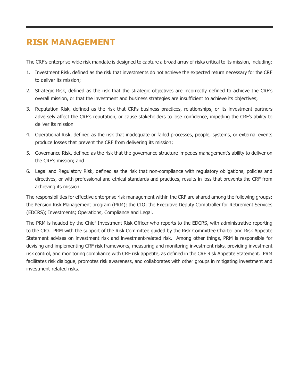# **RISK MANAGEMENT**

The CRF's enterprise-wide risk mandate is designed to capture a broad array of risks critical to its mission, including:

- 1. Investment Risk, defined as the risk that investments do not achieve the expected return necessary for the CRF to deliver its mission;
- 2. Strategic Risk, defined as the risk that the strategic objectives are incorrectly defined to achieve the CRF's overall mission, or that the investment and business strategies are insufficient to achieve its objectives;
- 3. Reputation Risk, defined as the risk that CRFs business practices, relationships, or its investment partners adversely affect the CRF's reputation, or cause stakeholders to lose confidence, impeding the CRF's ability to deliver its mission
- 4. Operational Risk, defined as the risk that inadequate or failed processes, people, systems, or external events produce losses that prevent the CRF from delivering its mission;
- 5. Governance Risk, defined as the risk that the governance structure impedes management's ability to deliver on the CRF's mission; and
- 6. Legal and Regulatory Risk, defined as the risk that non-compliance with regulatory obligations, policies and directives, or with professional and ethical standards and practices, results in loss that prevents the CRF from achieving its mission.

The responsibilities for effective enterprise risk management within the CRF are shared among the following groups: the Pension Risk Management program (PRM); the CIO; the Executive Deputy Comptroller for Retirement Services (EDCRS); Investments; Operations; Compliance and Legal.

The PRM is headed by the Chief Investment Risk Officer who reports to the EDCRS, with administrative reporting to the CIO. PRM with the support of the Risk Committee guided by the Risk Committee Charter and Risk Appetite Statement advises on investment risk and investment-related risk. Among other things, PRM is responsible for devising and implementing CRF risk frameworks, measuring and monitoring investment risks, providing investment risk control, and monitoring compliance with CRF risk appetite, as defined in the CRF Risk Appetite Statement. PRM facilitates risk dialogue, promotes risk awareness, and collaborates with other groups in mitigating investment and investment-related risks.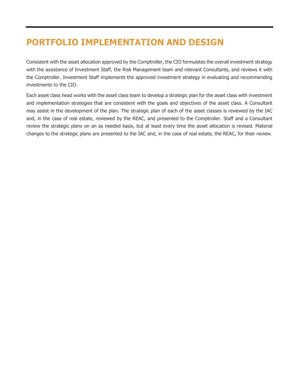# **PORTFOLIO IMPLEMENTATION AND DESIGN**

Consistent with the asset allocation approved by the Comptroller, the CIO formulates the overall investment strategy with the assistance of Investment Staff, the Risk Management team and relevant Consultants, and reviews it with the Comptroller. Investment Staff implements the approved investment strategy in evaluating and recommending investments to the CIO.

Each asset class head works with the asset class team to develop a strategic plan for the asset class with investment and implementation strategies that are consistent with the goals and objectives of the asset class. A Consultant may assist in the development of the plan. The strategic plan of each of the asset classes is reviewed by the IAC and, in the case of real estate, reviewed by the REAC, and presented to the Comptroller. Staff and a Consultant review the strategic plans on an as needed basis, but at least every time the asset allocation is revised. Material changes to the strategic plans are presented to the IAC and, in the case of real estate, the REAC, for their review.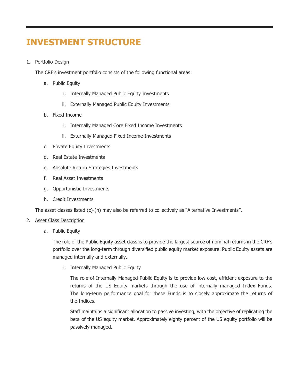# **INVESTMENT STRUCTURE**

#### 1. Portfolio Design

The CRF's investment portfolio consists of the following functional areas:

- a. Public Equity
	- i. Internally Managed Public Equity Investments
	- ii. Externally Managed Public Equity Investments
- b. Fixed Income
	- i. Internally Managed Core Fixed Income Investments
	- ii. Externally Managed Fixed Income Investments
- c. Private Equity Investments
- d. Real Estate Investments
- e. Absolute Return Strategies Investments
- f. Real Asset Investments
- g. Opportunistic Investments
- h. Credit Investments

The asset classes listed (c)-(h) may also be referred to collectively as "Alternative Investments".

#### 2. Asset Class Description

a. Public Equity

The role of the Public Equity asset class is to provide the largest source of nominal returns in the CRF's portfolio over the long-term through diversified public equity market exposure. Public Equity assets are managed internally and externally.

i. Internally Managed Public Equity

The role of Internally Managed Public Equity is to provide low cost, efficient exposure to the returns of the US Equity markets through the use of internally managed Index Funds. The long-term performance goal for these Funds is to closely approximate the returns of the Indices.

Staff maintains a significant allocation to passive investing, with the objective of replicating the beta of the US equity market. Approximately eighty percent of the US equity portfolio will be passively managed.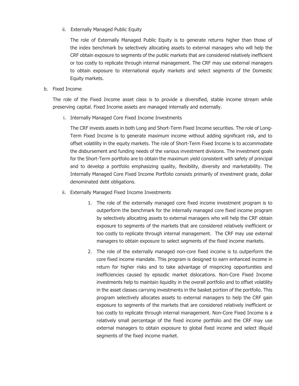ii. Externally Managed Public Equity

The role of Externally Managed Public Equity is to generate returns higher than those of the index benchmark by selectively allocating assets to external managers who will help the CRF obtain exposure to segments of the public markets that are considered relatively inefficient or too costly to replicate through internal management. The CRF may use external managers to obtain exposure to international equity markets and select segments of the Domestic Equity markets.

b. Fixed Income

The role of the Fixed Income asset class is to provide a diversified, stable income stream while preserving capital. Fixed Income assets are managed internally and externally.

i. Internally Managed Core Fixed Income Investments

The CRF invests assets in both Long and Short-Term Fixed Income securities. The role of Long-Term Fixed Income is to generate maximum income without adding significant risk, and to offset volatility in the equity markets. The role of Short-Term Fixed Income is to accommodate the disbursement and funding needs of the various investment divisions. The investment goals for the Short-Term portfolio are to obtain the maximum yield consistent with safety of principal and to develop a portfolio emphasizing quality, flexibility, diversity and marketability. The Internally Managed Core Fixed Income Portfolio consists primarily of investment grade, dollar denominated debt obligations.

- ii. Externally Managed Fixed Income Investments
	- 1. The role of the externally managed core fixed income investment program is to outperform the benchmark for the internally managed core fixed income program by selectively allocating assets to external managers who will help the CRF obtain exposure to segments of the markets that are considered relatively inefficient or too costly to replicate through internal management. The CRF may use external managers to obtain exposure to select segments of the fixed income markets.
	- 2. The role of the externally managed non-core fixed income is to outperform the core fixed income mandate. This program is designed to earn enhanced income in return for higher risks and to take advantage of mispricing opportunities and inefficiencies caused by episodic market dislocations. Non-Core Fixed Income investments help to maintain liquidity in the overall portfolio and to offset volatility in the asset classes carrying investments in the basket portion of the portfolio. This program selectively allocates assets to external managers to help the CRF gain exposure to segments of the markets that are considered relatively inefficient or too costly to replicate through internal management. Non-Core Fixed Income is a relatively small percentage of the fixed income portfolio and the CRF may use external managers to obtain exposure to global fixed income and select illiquid segments of the fixed income market.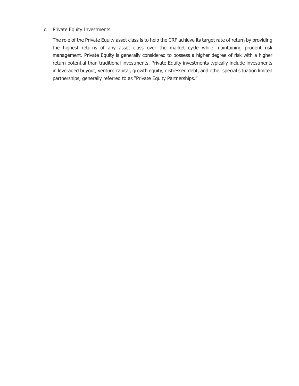#### c. Private Equity Investments

The role of the Private Equity asset class is to help the CRF achieve its target rate of return by providing the highest returns of any asset class over the market cycle while maintaining prudent risk management. Private Equity is generally considered to possess a higher degree of risk with a higher return potential than traditional investments. Private Equity investments typically include investments in leveraged buyout, venture capital, growth equity, distressed debt, and other special situation limited partnerships, generally referred to as "Private Equity Partnerships."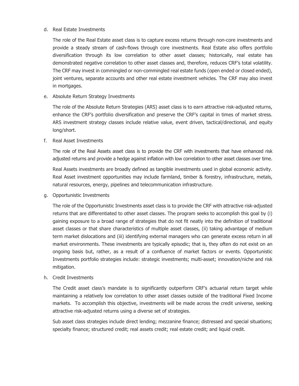#### d. Real Estate Investments

The role of the Real Estate asset class is to capture excess returns through non-core investments and provide a steady stream of cash-flows through core investments. Real Estate also offers portfolio diversification through its low correlation to other asset classes; historically, real estate has demonstrated negative correlation to other asset classes and, therefore, reduces CRF's total volatility. The CRF may invest in commingled or non-commingled real estate funds (open ended or closed ended), joint ventures, separate accounts and other real estate investment vehicles. The CRF may also invest in mortgages.

e. Absolute Return Strategy Investments

The role of the Absolute Return Strategies (ARS) asset class is to earn attractive risk-adjusted returns, enhance the CRF's portfolio diversification and preserve the CRF's capital in times of market stress. ARS investment strategy classes include relative value, event driven, tactical/directional, and equity long/short.

#### f. Real Asset Investments

The role of the Real Assets asset class is to provide the CRF with investments that have enhanced risk adjusted returns and provide a hedge against inflation with low correlation to other asset classes over time.

Real Assets investments are broadly defined as tangible investments used in global economic activity. Real Asset investment opportunities may include farmland, timber & forestry, infrastructure, metals, natural resources, energy, pipelines and telecommunication infrastructure.

g. Opportunistic Investments

The role of the Opportunistic Investments asset class is to provide the CRF with attractive risk-adjusted returns that are differentiated to other asset classes. The program seeks to accomplish this goal by (i) gaining exposure to a broad range of strategies that do not fit neatly into the definition of traditional asset classes or that share characteristics of multiple asset classes, (ii) taking advantage of medium term market dislocations and (iii) identifying external managers who can generate excess return in all market environments. These investments are typically episodic; that is, they often do not exist on an ongoing basis but, rather, as a result of a confluence of market factors or events. Opportunistic Investments portfolio strategies include: strategic investments; multi-asset; innovation/niche and risk mitigation.

#### h. Credit Investments

The Credit asset class's mandate is to significantly outperform CRF's actuarial return target while maintaining a relatively low correlation to other asset classes outside of the traditional Fixed Income markets. To accomplish this objective, investments will be made across the credit universe, seeking attractive risk-adjusted returns using a diverse set of strategies.

Sub asset class strategies include direct lending; mezzanine finance; distressed and special situations; specialty finance; structured credit; real assets credit; real estate credit; and liquid credit.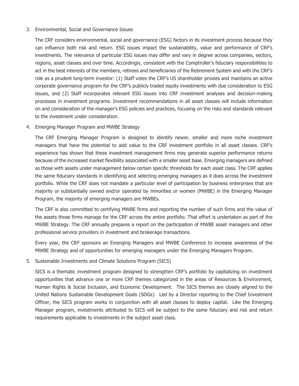#### 3. Environmental, Social and Governance Issues

The CRF considers environmental, social and governance (ESG) factors in its investment process because they can influence both risk and return. ESG issues impact the sustainability, value and performance of CRF's investments. The relevance of particular ESG issues may differ and vary in degree across companies, sectors, regions, asset classes and over time. Accordingly, consistent with the Comptroller's fiduciary responsibilities to act in the best interests of the members, retirees and beneficiaries of the Retirement System and with the CRF's role as a prudent long-term investor: (1) Staff votes the CRF's US shareholder proxies and maintains an active corporate governance program for the CRF's publicly traded equity investments with due consideration to ESG issues, and (2) Staff incorporates relevant ESG issues into CRF investment analyses and decision-making processes in investment programs. Investment recommendations in all asset classes will include information on and consideration of the manager's ESG policies and practices, focusing on the risks and standards relevant to the investment under consideration.

4. Emerging Manager Program and MWBE Strategy

The CRF Emerging Manager Program is designed to identify newer, smaller and more niche investment managers that have the potential to add value to the CRF investment portfolio in all asset classes. CRF's experience has shown that these investment management firms may generate superior performance returns because of the increased market flexibility associated with a smaller asset base. Emerging managers are defined as those with assets under management below certain specific thresholds for each asset class. The CRF applies the same fiduciary standards in identifying and selecting emerging managers as it does across the investment portfolio. While the CRF does not mandate a particular level of participation by business enterprises that are majority or substantially owned and/or operated by minorities or women (MWBE) in the Emerging Manager Program, the majority of emerging managers are MWBEs.

The CRF is also committed to certifying MWBE firms and reporting the number of such firms and the value of the assets those firms manage for the CRF across the entire portfolio. That effort is undertaken as part of the MWBE Strategy. The CRF annually prepares a report on the participation of MWBE asset managers and other professional service providers in investment and brokerage transactions.

Every year, the CRF sponsors an Emerging Managers and MWBE Conference to increase awareness of the MWBE Strategy and of opportunities for emerging managers under the Emerging Managers Program.

5. Sustainable Investments and Climate Solutions Program (SICS)

SICS is a thematic investment program designed to strengthen CRF's portfolio by capitalizing on investment opportunities that advance one or more CRF themes categorized in the areas of Resources & Environment, Human Rights & Social Inclusion, and Economic Development. The SICS themes are closely aligned to the United Nations Sustainable Development Goals (SDGs). Led by a Director reporting to the Chief Investment Officer, the SICS program works in conjunction with all asset classes to deploy capital. Like the Emerging Manager program, investments attributed to SICS will be subject to the same fiduciary and risk and return requirements applicable to investments in the subject asset class.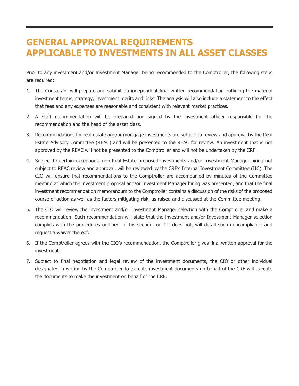## **GENERAL APPROVAL REQUIREMENTS APPLICABLE TO INVESTMENTS IN ALL ASSET CLASSES**

Prior to any investment and/or Investment Manager being recommended to the Comptroller, the following steps are required:

- 1. The Consultant will prepare and submit an independent final written recommendation outlining the material investment terms, strategy, investment merits and risks. The analysis will also include a statement to the effect that fees and any expenses are reasonable and consistent with relevant market practices.
- 2. A Staff recommendation will be prepared and signed by the investment officer responsible for the recommendation and the head of the asset class.
- 3. Recommendations for real estate and/or mortgage investments are subject to review and approval by the Real Estate Advisory Committee (REAC) and will be presented to the REAC for review. An investment that is not approved by the REAC will not be presented to the Comptroller and will not be undertaken by the CRF.
- 4. Subject to certain exceptions, non-Real Estate proposed investments and/or Investment Manager hiring not subject to REAC review and approval, will be reviewed by the CRF's Internal Investment Committee (IIC). The CIO will ensure that recommendations to the Comptroller are accompanied by minutes of the Committee meeting at which the investment proposal and/or Investment Manager hiring was presented, and that the final investment recommendation memorandum to the Comptroller contains a discussion of the risks of the proposed course of action as well as the factors mitigating risk, as raised and discussed at the Committee meeting.
- 5. The CIO will review the investment and/or Investment Manager selection with the Comptroller and make a recommendation. Such recommendation will state that the investment and/or Investment Manager selection complies with the procedures outlined in this section, or if it does not, will detail such noncompliance and request a waiver thereof.
- 6. If the Comptroller agrees with the CIO's recommendation, the Comptroller gives final written approval for the investment.
- 7. Subject to final negotiation and legal review of the investment documents, the CIO or other individual designated in writing by the Comptroller to execute investment documents on behalf of the CRF will execute the documents to make the investment on behalf of the CRF.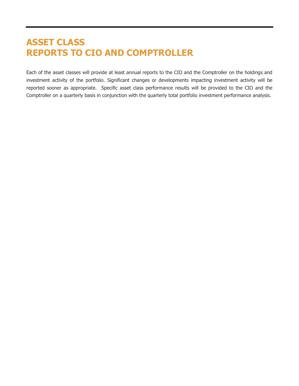# **ASSET CLASS REPORTS TO CIO AND COMPTROLLER**

Each of the asset classes will provide at least annual reports to the CIO and the Comptroller on the holdings and investment activity of the portfolio. Significant changes or developments impacting investment activity will be reported sooner as appropriate. Specific asset class performance results will be provided to the CIO and the Comptroller on a quarterly basis in conjunction with the quarterly total portfolio investment performance analysis.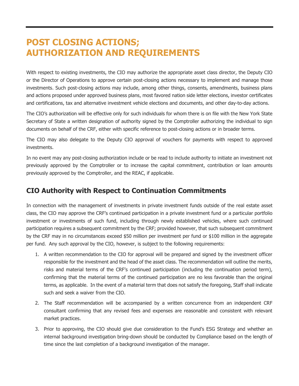## **POST CLOSING ACTIONS; AUTHORIZATION AND REQUIREMENTS**

With respect to existing investments, the CIO may authorize the appropriate asset class director, the Deputy CIO or the Director of Operations to approve certain post-closing actions necessary to implement and manage those investments. Such post-closing actions may include, among other things, consents, amendments, business plans and actions proposed under approved business plans, most favored nation side letter elections, investor certificates and certifications, tax and alternative investment vehicle elections and documents, and other day-to-day actions.

The CIO's authorization will be effective only for such individuals for whom there is on file with the New York State Secretary of State a written designation of authority signed by the Comptroller authorizing the individual to sign documents on behalf of the CRF, either with specific reference to post-closing actions or in broader terms.

The CIO may also delegate to the Deputy CIO approval of vouchers for payments with respect to approved investments.

In no event may any post-closing authorization include or be read to include authority to initiate an investment not previously approved by the Comptroller or to increase the capital commitment, contribution or loan amounts previously approved by the Comptroller, and the REAC, if applicable.

#### **CIO Authority with Respect to Continuation Commitments**

In connection with the management of investments in private investment funds outside of the real estate asset class, the CIO may approve the CRF's continued participation in a private investment fund or a particular portfolio investment or investments of such fund, including through newly established vehicles, where such continued participation requires a subsequent commitment by the CRF; provided however, that such subsequent commitment by the CRF may in no circumstances exceed \$50 million per investment per fund or \$100 million in the aggregate per fund. Any such approval by the CIO, however, is subject to the following requirements:

- 1. A written recommendation to the CIO for approval will be prepared and signed by the investment officer responsible for the investment and the head of the asset class. The recommendation will outline the merits, risks and material terms of the CRF's continued participation (including the continuation period term), confirming that the material terms of the continued participation are no less favorable than the original terms, as applicable. In the event of a material term that does not satisfy the foregoing, Staff shall indicate such and seek a waiver from the CIO.
- 2. The Staff recommendation will be accompanied by a written concurrence from an independent CRF consultant confirming that any revised fees and expenses are reasonable and consistent with relevant market practices.
- 3. Prior to approving, the CIO should give due consideration to the Fund's ESG Strategy and whether an internal background investigation bring-down should be conducted by Compliance based on the length of time since the last completion of a background investigation of the manager.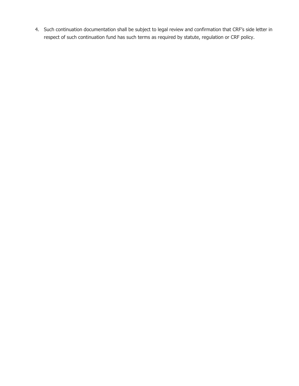4. Such continuation documentation shall be subject to legal review and confirmation that CRF's side letter in respect of such continuation fund has such terms as required by statute, regulation or CRF policy.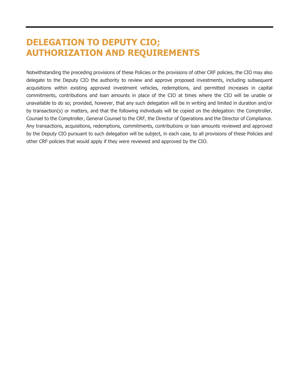## **DELEGATION TO DEPUTY CIO; AUTHORIZATION AND REQUIREMENTS**

Notwithstanding the preceding provisions of these Policies or the provisions of other CRF policies, the CIO may also delegate to the Deputy CIO the authority to review and approve proposed investments, including subsequent acquisitions within existing approved investment vehicles, redemptions, and permitted increases in capital commitments, contributions and loan amounts in place of the CIO at times where the CIO will be unable or unavailable to do so; provided, however, that any such delegation will be in writing and limited in duration and/or by transaction(s) or matters, and that the following individuals will be copied on the delegation: the Comptroller, Counsel to the Comptroller, General Counsel to the CRF, the Director of Operations and the Director of Compliance. Any transactions, acquisitions, redemptions, commitments, contributions or loan amounts reviewed and approved by the Deputy CIO pursuant to such delegation will be subject, in each case, to all provisions of these Policies and other CRF policies that would apply if they were reviewed and approved by the CIO.